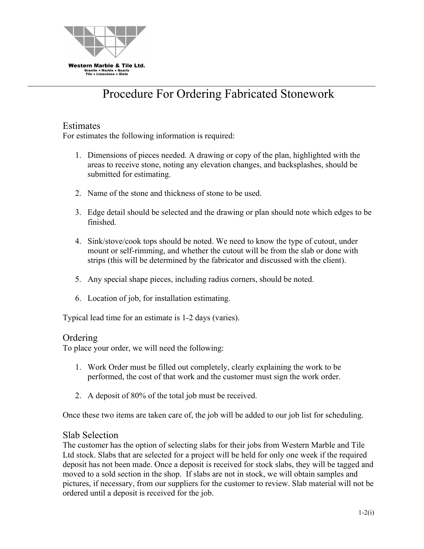

# Procedure For Ordering Fabricated Stonework

## Estimates

For estimates the following information is required:

- 1. Dimensions of pieces needed. A drawing or copy of the plan, highlighted with the areas to receive stone, noting any elevation changes, and backsplashes, should be submitted for estimating.
- 2. Name of the stone and thickness of stone to be used.
- 3. Edge detail should be selected and the drawing or plan should note which edges to be finished.
- 4. Sink/stove/cook tops should be noted. We need to know the type of cutout, under mount or self-rimming, and whether the cutout will be from the slab or done with strips (this will be determined by the fabricator and discussed with the client).
- 5. Any special shape pieces, including radius corners, should be noted.
- 6. Location of job, for installation estimating.

Typical lead time for an estimate is 1-2 days (varies).

#### Ordering

To place your order, we will need the following:

- 1. Work Order must be filled out completely, clearly explaining the work to be performed, the cost of that work and the customer must sign the work order.
- 2. A deposit of 80% of the total job must be received.

Once these two items are taken care of, the job will be added to our job list for scheduling.

#### Slab Selection

The customer has the option of selecting slabs for their jobs from Western Marble and Tile Ltd stock. Slabs that are selected for a project will be held for only one week if the required deposit has not been made. Once a deposit is received for stock slabs, they will be tagged and moved to a sold section in the shop. If slabs are not in stock, we will obtain samples and pictures, if necessary, from our suppliers for the customer to review. Slab material will not be ordered until a deposit is received for the job.